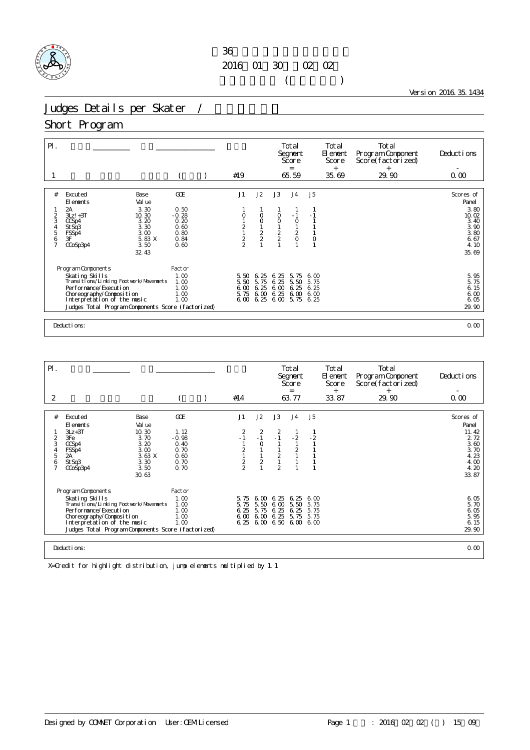## $36$ 2016年01月30日~02月02日  $($

Version 2016.35.1434

# Judges Details per Skater /

### Short Program

| $P$ .                                        |                                                                                                                                                                                                                            |                                                                       |  |                                                    |                                      |                                                      | Total<br>Segnent<br>Score<br>$=$                                               |                                                                   | Total<br>El ement<br>Score<br>$^{+}$ | Total<br>Program Component<br>Score(factorized)<br>$^{+}$ | Deductions                                                                           |
|----------------------------------------------|----------------------------------------------------------------------------------------------------------------------------------------------------------------------------------------------------------------------------|-----------------------------------------------------------------------|--|----------------------------------------------------|--------------------------------------|------------------------------------------------------|--------------------------------------------------------------------------------|-------------------------------------------------------------------|--------------------------------------|-----------------------------------------------------------|--------------------------------------------------------------------------------------|
|                                              |                                                                                                                                                                                                                            |                                                                       |  | #19                                                |                                      |                                                      | 65.59                                                                          |                                                                   | 35.69                                | 29.90                                                     | 0.00                                                                                 |
| #<br>2<br>3<br>4<br>5<br>6<br>$\overline{7}$ | Excuted<br>Base<br>Val ue<br>El ements<br>2A<br>3.30<br>10.30<br>$3Lz! + 3T$<br>3.20<br>CCSp4<br>3.30<br>St Sq3<br>3.00<br>FSSp4<br>3F<br>5.83 X<br>3.50<br>CCoSp3p4<br>32.43                                              | <b>GCE</b><br>0.50<br>$-0.28$<br>0.20<br>0.60<br>0.80<br>0.84<br>0.60 |  | J1<br>$\begin{array}{c}\n2 \\ 1 \\ 2\n\end{array}$ | J2<br>0<br>$\circ$<br>$\frac{1}{2}$  | J3<br>0<br>$\circ$<br>$\frac{1}{2}$                  | J <sub>4</sub><br>$-1$<br>$\circ$<br>$\begin{matrix} 1 \\ 2 \\ 0 \end{matrix}$ | J <sub>5</sub><br>$-1$<br>$\mathbf{1}$<br>$\circ$<br>$\mathbf{1}$ |                                      |                                                           | Scores of<br>Panel<br>3.80<br>10.02<br>3.40<br>3.90<br>3.80<br>6.67<br>4.10<br>35.69 |
|                                              | Program Components<br>Skating Skills<br>Transitions/Linking Footwork/Movements<br>Per for mance/Execution<br>Choreography/Composition<br>Interpretation of the music<br>Judges Total Program Components Score (factorized) | Factor<br>1.00<br>1.00<br>1.00<br>1.00<br>1.00                        |  | 5.50<br>5.50<br>6.00<br>5.75<br>6 <sub>0</sub>     | 6.25<br>5.75<br>6.25<br>6.00<br>6.25 | 25<br>6.<br>6.25<br>6.00<br>6.25<br>$6.00\quad 5.75$ | 5.75<br>5.50<br>6.25<br>6,00                                                   | 600<br>5.75<br>6.25<br>6,00<br>6.25                               |                                      |                                                           | 5.95<br>5.75<br>6.15<br>6.00<br>6.05<br>29.90                                        |
|                                              | 0.00<br>Deductions:                                                                                                                                                                                                        |                                                                       |  |                                                    |                                      |                                                      |                                                                                |                                                                   |                                      |                                                           |                                                                                      |

| $\mathsf{P}$ .                     |                                                                                                                                                                                                                                                                                |                                                                 |                                                         |  |                                      |                                                              |                                                           | Total<br>Segnent<br>Score<br>$=$ |                              | Total<br>El enent<br>Score<br>$^{+}$ | Total<br>Program Component<br>Score(factorized)<br>$^{+}$ | Deductions                                                                   |
|------------------------------------|--------------------------------------------------------------------------------------------------------------------------------------------------------------------------------------------------------------------------------------------------------------------------------|-----------------------------------------------------------------|---------------------------------------------------------|--|--------------------------------------|--------------------------------------------------------------|-----------------------------------------------------------|----------------------------------|------------------------------|--------------------------------------|-----------------------------------------------------------|------------------------------------------------------------------------------|
| 2                                  |                                                                                                                                                                                                                                                                                |                                                                 |                                                         |  | #14                                  |                                                              |                                                           | 63.77                            |                              | 33.87                                | 29.90                                                     | 0.00                                                                         |
|                                    |                                                                                                                                                                                                                                                                                |                                                                 |                                                         |  |                                      |                                                              |                                                           |                                  |                              |                                      |                                                           |                                                                              |
| #                                  | Excuted<br>El ements                                                                                                                                                                                                                                                           | Base<br>Val ue                                                  | GOE                                                     |  | J1                                   | J2                                                           | J3                                                        | J <sub>4</sub>                   | J5                           |                                      |                                                           | Scores of<br>Panel                                                           |
| 3<br>4<br>5<br>6<br>$\overline{7}$ | $3Lz + 3T$<br>3Fe<br>CCSp4<br>FSSp4<br>2A<br>St Sq3<br>CCoSp3p4                                                                                                                                                                                                                | 10.30<br>3.70<br>3.20<br>3.00<br>3.63X<br>3.30<br>3.50<br>30.63 | 1.12<br>$-0.98$<br>0.40<br>0.70<br>0.60<br>0.70<br>0.70 |  | $\frac{2}{2}$                        | $\overline{\mathbf{c}}$<br>$-1$<br>$\circ$<br>$\overline{c}$ | $\overline{c}$<br>$-1$<br>$\frac{2}{1}$<br>$\overline{2}$ | $-2$<br>$\overline{2}$           | $-2$                         |                                      |                                                           | 11.42<br>2 7 2<br>$\overline{3}$ 60<br>3.70<br>4.23<br>4.00<br>4.20<br>33.87 |
|                                    | Program Components<br>Factor<br>1.00<br>Skating Skills<br>Transi ti ons/Li nki ng Footvork/Movements<br>1.00<br>Performance/Execution<br>1.00<br>1.00<br>Choreography/Composition<br>1.00<br>Interpretation of the music<br>Judges Total Program Components Score (factorized) |                                                                 |                                                         |  | 5.75<br>5.75<br>6.25<br>6.00<br>6.25 | 6.00<br>5.50<br>5.75<br>600                                  | 6.25<br>6.00<br>6.25<br>6.25<br>6.00 6.50 6.00 6.00       | 6.25<br>5.50<br>6.25<br>5.75     | 6.00<br>5.75<br>5.75<br>5.75 |                                      |                                                           | 6.05<br>5.70<br>6.05<br>5.95<br>6.15<br>29.90                                |
|                                    | Deductions:<br>0.00                                                                                                                                                                                                                                                            |                                                                 |                                                         |  |                                      |                                                              |                                                           |                                  |                              |                                      |                                                           |                                                                              |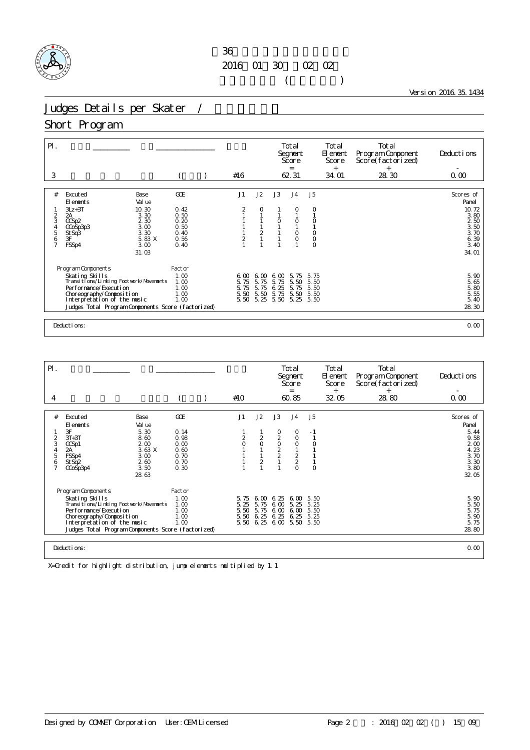## $36$ 2016年01月30日~02月02日  $($

Version 2016.35.1434

# Judges Details per Skater /

### Short Program

| $\mathsf{P}$ . |                                                              |                      |  |                |                            | Total<br>Segnent<br>Score<br>$=$ |                    | Total<br>El ement<br>Score<br>$^{+}$ | Total<br>Program Component<br>Score(factorized)<br>$+$ | Deductions |                         |  |
|----------------|--------------------------------------------------------------|----------------------|--|----------------|----------------------------|----------------------------------|--------------------|--------------------------------------|--------------------------------------------------------|------------|-------------------------|--|
| 3              |                                                              |                      |  | #16            |                            |                                  | 62.31              |                                      | 34.01                                                  | 28.30      | 0.00                    |  |
| #              | Excuted<br>Base<br>Val ue<br>El ements                       | GOE                  |  | J1             | J2                         | J3                               | J <sub>4</sub>     | J <sub>5</sub>                       |                                                        |            | Scores of<br>Panel      |  |
| $\overline{c}$ | 10.30<br>$3Lz + 3T$<br>3.30<br>2A                            | 0.42<br>0.50         |  | 2              | 0                          |                                  | 0                  | O                                    |                                                        |            | 10.72<br>3.80           |  |
| 3              | 2.30<br>CCSp2<br>3.00<br>CCoSp3p3<br>3.30                    | 0.20<br>0.50<br>0.40 |  |                |                            | $\circ$                          | $\circ$<br>$\circ$ | 0<br>$\mathsf O$                     |                                                        |            | 250<br>$3.50$<br>$3.70$ |  |
| 4567           | St Sq <sup>3</sup><br>3F<br>5.83 X<br>3.00<br>FSSp4          | 0.56<br>0.40         |  | $\overline{c}$ | $\frac{2}{1}$              |                                  |                    | $\circ$<br>$\circ$                   |                                                        |            | $6.39$<br>$3.40$        |  |
|                | 31.03                                                        |                      |  |                |                            |                                  |                    |                                      |                                                        |            | 34.01                   |  |
|                | Program Components                                           | Factor               |  |                |                            |                                  |                    |                                      |                                                        |            |                         |  |
|                | Skating Skills<br>Transi ti ons/Li nki ng Footvork/Movements | 1.00<br>1.00         |  | 6.00<br>5.75   | $\infty$<br>6.<br>5.<br>75 | $\infty$<br>6.<br>75<br>5.       | 5.75<br>5.50       | 5.75<br>5.50                         |                                                        |            | 5.90<br>5.65            |  |
|                | Per for mance/Execution<br>Choreography/Composition          | 1.00<br>1.00         |  | 5.75<br>5.50   | 5.<br>75<br>5.50           | 25<br>6.<br>5.75                 | 5.<br>75<br>5.50   | 5.50<br>5.50                         |                                                        |            | 5.80<br>5.55            |  |
|                | Interpretation of the music                                  | 1.00                 |  | 5.50           | 5.25                       | 5.50                             | 5.25               | 5.50                                 |                                                        |            | 5.40                    |  |
|                | Judges Total Program Components Score (factorized)           |                      |  |                |                            |                                  |                    |                                      |                                                        |            | 28.30                   |  |
|                | 0.00<br>Deductions:                                          |                      |  |                |                            |                                  |                    |                                      |                                                        |            |                         |  |

| $\mathsf{P}$ .                          |                                                                                                                                                                                                                                                                                |                                                                |                                                      |  |               |                                 |                                                            | Total<br>Segnent<br>Score<br>$=$               |                                      | Total<br>El enent<br>Score<br>$^{+}$ | Total<br>Program Component<br>Score(factorized)<br>$^{+}$ | Deductions                                                              |
|-----------------------------------------|--------------------------------------------------------------------------------------------------------------------------------------------------------------------------------------------------------------------------------------------------------------------------------|----------------------------------------------------------------|------------------------------------------------------|--|---------------|---------------------------------|------------------------------------------------------------|------------------------------------------------|--------------------------------------|--------------------------------------|-----------------------------------------------------------|-------------------------------------------------------------------------|
| 4                                       |                                                                                                                                                                                                                                                                                |                                                                |                                                      |  | #10           |                                 |                                                            | 60.85                                          |                                      | 32 05                                | 28.80                                                     | 0.00                                                                    |
| #                                       |                                                                                                                                                                                                                                                                                |                                                                | GOE                                                  |  | J1            | J2                              | J3                                                         |                                                | J5                                   |                                      |                                                           |                                                                         |
|                                         | Excuted<br>Base<br>El ements                                                                                                                                                                                                                                                   | Val ue                                                         |                                                      |  |               |                                 |                                                            | J <sub>4</sub>                                 |                                      |                                      |                                                           | Scores of<br>Panel                                                      |
| 2<br>3<br>4<br>5<br>6<br>$\overline{7}$ | 3F<br>$3T+3T$<br>CCSp1<br>2A<br>FSSp4<br>St Sq2<br>CCoSp3p4                                                                                                                                                                                                                    | 5.30<br>8.60<br>200<br>3.63 X<br>3.00<br>2.60<br>3.50<br>28.63 | 0.14<br>0.98<br>0.00<br>0.60<br>0.70<br>0.70<br>0.30 |  | $\frac{2}{0}$ | $\frac{2}{0}$<br>$\overline{c}$ | $\begin{matrix} 0 \\ 2 \\ 0 \end{matrix}$<br>$\frac{2}{2}$ | 0<br>0<br>$\circ$<br>$\frac{2}{2}$<br>$\Omega$ | - 1<br>$\circ$                       |                                      |                                                           | 5.44<br>9.58<br>2 <sub>0</sub><br>4.23<br>3.70<br>3.30<br>3.80<br>32 05 |
|                                         | Program Components<br>Factor<br>Skating Skills<br>1.00<br>Transi ti ons/Li nki ng Footvork/Movements<br>1.00<br>Performance/Execution<br>1.00<br>Choreography/Composition<br>1.00<br>1.00<br>Interpretation of the music<br>Judges Total Program Components Score (factorized) |                                                                |                                                      |  |               | 6.00<br>5.75<br>5.75<br>6.25    | 6.25<br>6.00<br>6,00<br>6.25<br>6.25 6.00 5.50             | 6.00<br>5.25<br>6.00<br>6.25                   | 5.50<br>5.25<br>5.50<br>5.25<br>5.50 |                                      |                                                           | 5.90<br>5.50<br>5.75<br>5.90<br>5.75<br>28.80                           |
|                                         | Deductions:<br>0.00                                                                                                                                                                                                                                                            |                                                                |                                                      |  |               |                                 |                                                            |                                                |                                      |                                      |                                                           |                                                                         |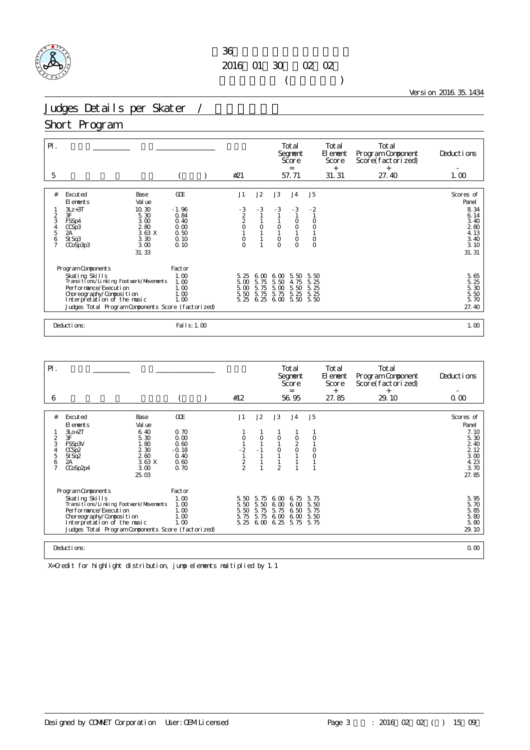## $36$ 2016年01月30日~02月02日  $($

Version 2016.35.1434

# Judges Details per Skater /

### Short Program

| $P$ .<br>5                           |                                                          |                                |                      | #21                |              |                     | Total<br>Segnent<br>Score<br>$=$<br>57.71 |                    | Total<br>El ement<br>Score<br>$^{+}$<br>31.31 | Total<br>Program Component<br>Score(factorized)<br>$^{+}$<br>27.40 | Deductions<br>1.00            |
|--------------------------------------|----------------------------------------------------------|--------------------------------|----------------------|--------------------|--------------|---------------------|-------------------------------------------|--------------------|-----------------------------------------------|--------------------------------------------------------------------|-------------------------------|
|                                      |                                                          |                                |                      |                    |              |                     |                                           |                    |                                               |                                                                    |                               |
| #                                    | Excuted<br>El ements<br>$3Lz + 3T$                       | Base<br>Val ue<br>10.30        | GOE<br>$-1.96$       | J1                 | J2<br>$-3$   | J3<br>$-3$          | J <sub>4</sub><br>$-3$                    | J5<br>$-2$         |                                               |                                                                    | Scores of<br>Panel<br>8.34    |
| $\overline{c}$<br>3<br>$\frac{4}{5}$ | 3F<br>FSSp4<br>CCSp3                                     | 5.30<br>3.00<br>280            | 0.84<br>0.40<br>0.00 | $\frac{3}{2}$<br>O | $\circ$      | 0                   | $\circ$<br>$\overline{O}$                 | $\circ$            |                                               |                                                                    | 6.14<br>3.40<br>280           |
| 6<br>$\overline{7}$                  | 2A<br>St Sq3<br>CCoSp3p3                                 | 3.63X<br>3.30<br>3.00<br>31.33 | 0.50<br>0.10<br>0.10 | 0<br>$\Omega$      |              | $\circ$<br>$\Omega$ | $\circ$<br>$\Omega$                       | $\circ$<br>$\circ$ |                                               |                                                                    | 4.13<br>3.40<br>3.10<br>31.31 |
|                                      |                                                          |                                |                      |                    |              |                     |                                           |                    |                                               |                                                                    |                               |
|                                      | Program Components                                       |                                | Factor               |                    |              |                     |                                           |                    |                                               |                                                                    |                               |
|                                      | Skating Skills<br>Transitions/Linking Footwork/Movements |                                | 1.00<br>1.00         | 5.25<br>5.00       | 6.00<br>5.75 | 6.00<br>5.50        | 5.50<br>4.75                              | 5.50<br>5.25       |                                               |                                                                    | 5.65<br>5.25                  |
|                                      | Per for mance/Execution                                  |                                | 1.00                 | 5.00               | 5.75         | 5.00                | 5.50                                      | 5.25               |                                               |                                                                    | 5.30<br>5.50                  |
|                                      | Choreography/Composition<br>Interpretation of the music  |                                | 1.00<br>1.00         | 5.50<br>5.25       | 5.75<br>6.25 | 5.75<br>6.00        | 5.25<br>5.50                              | 5.25<br>5.50       |                                               |                                                                    | 5.70                          |
|                                      | Judges Total Program Components Score (factorized)       |                                |                      |                    |              |                     |                                           |                    |                                               |                                                                    | 27.40                         |
|                                      |                                                          |                                |                      |                    |              |                     |                                           |                    |                                               |                                                                    |                               |
|                                      | Deductions:                                              |                                | Fal I s: 1.00        |                    |              |                     |                                           |                    |                                               |                                                                    | 1.00                          |

| $\mathsf{P}$ .      |                                                                       |                |                 |  |               |              |                     | Total<br>Segnent<br>Score<br>$=$ |              | Total<br>El ement<br>Score<br>$^{+}$ | Total<br>Program Component<br>Score(factorized)<br>$^{+}$ | Deductions         |  |
|---------------------|-----------------------------------------------------------------------|----------------|-----------------|--|---------------|--------------|---------------------|----------------------------------|--------------|--------------------------------------|-----------------------------------------------------------|--------------------|--|
| 6                   |                                                                       |                |                 |  | #12           |              |                     | 56.95                            |              | 27.85                                | 29.10                                                     | 0.00               |  |
|                     |                                                                       |                |                 |  |               |              |                     |                                  |              |                                      |                                                           |                    |  |
| #                   | Excuted<br>El ements                                                  | Base<br>Val ue | GOE             |  | J1            | J2           | J3                  | J <sub>4</sub>                   | J5           |                                      |                                                           | Scores of<br>Panel |  |
| 2                   | $3L0+2T$<br>3F                                                        | 6.40<br>5.30   | 0.70<br>0.00    |  | 0             | $\circ$      | O                   | $\circ$                          | O            |                                      |                                                           | 7.10<br>5.30       |  |
| 3                   | FSSp3V<br>CCSp2                                                       | 1.80<br>2 3 0  | 0.60<br>$-0.18$ |  | $-2$          | $-1$         | 0                   | $\overline{a}$<br>$\circ$        | O            |                                      |                                                           | 2 40<br>2 1 2      |  |
| 5                   | St Sq2                                                                | 260            | 0.40            |  |               |              |                     |                                  | $\circ$      |                                      |                                                           | 3.00               |  |
| 6<br>$\overline{ }$ | 2A<br>CCoSp2p4                                                        | 3.63X<br>3.00  | 0.60<br>0.70    |  | $\frac{2}{2}$ |              | $\mathfrak{D}$      |                                  |              |                                      |                                                           | 4.23<br>3.70       |  |
|                     |                                                                       | 25.03          |                 |  |               |              |                     |                                  |              |                                      |                                                           | 27.85              |  |
|                     | Program Components                                                    |                | Factor          |  |               |              |                     |                                  |              |                                      |                                                           |                    |  |
|                     | Skating Skills                                                        |                | 1.00            |  | 5.50          | 5.75         | 6.00                | 6.75                             | 5.75         |                                      |                                                           | 5.95<br>5.70       |  |
|                     | Transi ti ons/Li nki ng Footvork/Movements<br>Per for mance/Execution |                | 1.00<br>1.00    |  | 5.50<br>5.50  | 5.50<br>5.75 | 6.00<br>5.75        | 6.00<br>6.50                     | 5.50<br>5.75 |                                      |                                                           | 5.85               |  |
|                     | Choreography/Composition                                              |                | 1.00            |  | 5.75          | 5.75         | 6.00                | 6.00                             | 5.50         |                                      |                                                           | 5.80               |  |
|                     | Interpretation of the music                                           |                | 1.00            |  | 5.25          |              | 6.00 6.25 5.75 5.75 |                                  |              |                                      |                                                           | 5.80               |  |
|                     | Judges Total Program Components Score (factorized)                    |                |                 |  |               |              |                     |                                  |              |                                      |                                                           | 29.10              |  |
|                     |                                                                       |                |                 |  |               |              |                     |                                  |              |                                      |                                                           |                    |  |
|                     | Deductions:                                                           |                |                 |  |               |              |                     |                                  |              |                                      |                                                           | 0.00               |  |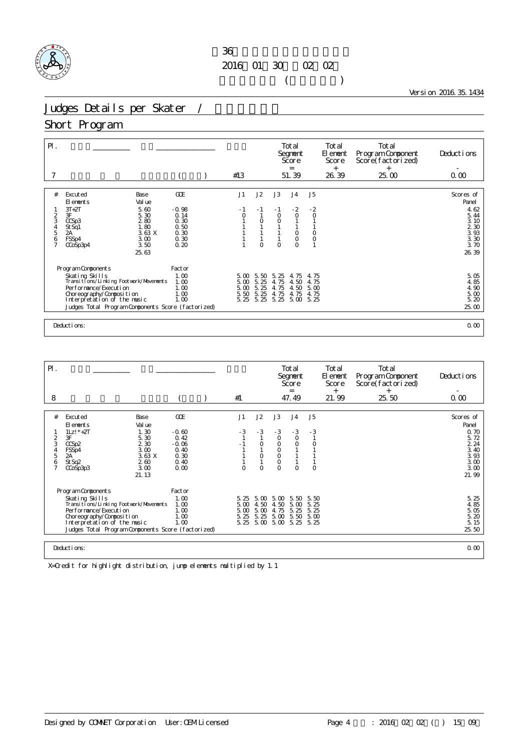## $36$ 2016年01月30日~02月02日  $($

Version 2016.35.1434

# Judges Details per Skater /

### Short Program

| $\mathsf{P}$ .                                             |                                                                                                                                                                                                                              |                                                                       |  | #13                                  |                                      |                                             | Total<br>Segnent<br>Score<br>$=$<br>51.39                                 |                                                             | Total<br>El ement<br>Score<br>$^{+}$<br>26.39 | Total<br>Program Component<br>Score(factorized)<br>$+$<br>25.00 | Deductions<br>0.00                                                                                   |  |
|------------------------------------------------------------|------------------------------------------------------------------------------------------------------------------------------------------------------------------------------------------------------------------------------|-----------------------------------------------------------------------|--|--------------------------------------|--------------------------------------|---------------------------------------------|---------------------------------------------------------------------------|-------------------------------------------------------------|-----------------------------------------------|-----------------------------------------------------------------|------------------------------------------------------------------------------------------------------|--|
| #<br>$\frac{2}{3}$<br>$\frac{4}{5}$<br>6<br>$\overline{7}$ | Excuted<br><b>Base</b><br>Val ue<br>FI ements<br>$3T+2T$<br>5.60<br>3F<br>5.30<br>280<br>CCSp3<br>1.80<br>St Sq1<br>3.63 X<br>2A<br>3.00<br>FSSp4<br>3.50<br>CCoSp3p4<br>25.63                                               | <b>GCE</b><br>$-0.98$<br>0.14<br>0.30<br>0.50<br>0.30<br>0.30<br>0.20 |  | J1<br>- 1<br>$\circ$                 | J2<br>- 1<br>$\circ$<br>$\circ$      | J3<br>$-1$<br>$\circ$<br>$\circ$<br>$\circ$ | J <sub>4</sub><br>$-2$<br>$\circ$<br>$\circ$<br>$\circ$<br>$\overline{O}$ | J5<br>$-2$<br>$\circ$<br>$\circ$<br>$\circ$<br>$\mathbf{1}$ |                                               |                                                                 | Scores of<br>Panel<br>4.62<br>5.44<br>3.10<br>$\frac{2}{3}$ $\frac{30}{3}$<br>3. 30<br>3.70<br>26.39 |  |
|                                                            | Program Components<br>Skating Skills<br>Transitions/Linking Footwork/Movements<br>Per f or mance/Executi on<br>Choreography/Composition<br>Interpretation of the music<br>Judges Total Program Components Score (factorized) | Factor<br>1.00<br>1.00<br>1.00<br>1.00<br>1.00                        |  | 5.00<br>5.00<br>5.00<br>5.50<br>5.25 | 5.50<br>5.25<br>5.25<br>5.25<br>5.25 | 25<br>-5.<br>4.75<br>4.75<br>4.75<br>5.25   | 4.75<br>4.50<br>4.50<br>4.75<br>5.00                                      | 4.75<br>4.75<br>5.00<br>4.75<br>5.25                        |                                               |                                                                 | 5.05<br>4.85<br>4.90<br>5.00<br>5.20<br>25.00                                                        |  |
|                                                            | 0.00<br>Deductions:                                                                                                                                                                                                          |                                                                       |  |                                      |                                      |                                             |                                                                           |                                                             |                                               |                                                                 |                                                                                                      |  |

| $P$ .                                                |                                                                                                                                                                                                                                |                                                                                  |                                                                   |                                                          |                                        |                                                                             | Total<br>Segnent<br>Score<br>$=$                         |                             | Total<br>El ement<br>Score<br>$^{+}$          | Total<br>Program Component<br>Score(factorized)<br>$\ddot{}$ | Deductions                                                                          |
|------------------------------------------------------|--------------------------------------------------------------------------------------------------------------------------------------------------------------------------------------------------------------------------------|----------------------------------------------------------------------------------|-------------------------------------------------------------------|----------------------------------------------------------|----------------------------------------|-----------------------------------------------------------------------------|----------------------------------------------------------|-----------------------------|-----------------------------------------------|--------------------------------------------------------------|-------------------------------------------------------------------------------------|
| 8                                                    |                                                                                                                                                                                                                                |                                                                                  |                                                                   | #1                                                       |                                        |                                                                             | 47.49                                                    |                             | 21.99                                         | 25.50                                                        | 0.00                                                                                |
| #<br>$\overline{c}$<br>3<br>5<br>6<br>$\overline{7}$ | Excuted<br>El ements<br>$1Lz!$ $*$ +2T<br>3F<br>CCSp2<br>FSSp4<br>2A<br>St Sq2<br>CCoSp3p3                                                                                                                                     | Base<br>Val ue<br>1.30<br>5.30<br>2 3 0<br>3.00<br>3.63X<br>260<br>3.00<br>21.13 | GOE<br>$-0.60$<br>0.42<br>$-0.06$<br>0.40<br>0.30<br>0.40<br>0.00 | J1<br>- 3<br>$\Omega$                                    | J2<br>$-3$<br>$\circ$<br>0<br>$\Omega$ | J3<br>$-3$<br>$\circ$<br>$\circ$<br>0<br>$\circ$<br>$\mathsf O$<br>$\Omega$ | J <sub>4</sub><br>$-3$<br>$\circ$<br>$\circ$<br>$\Omega$ | J5<br>$-3$<br>0<br>$\Omega$ |                                               |                                                              | Scores of<br>Panel<br>0.70<br>5.72<br>2.24<br>3.40<br>3.93<br>3.00<br>3.00<br>21.99 |
|                                                      | Program Components<br>Skating Skills<br>Transi ti ons/Li nki ng Footvork/Movements<br>Per for mance/Execution<br>Choreography/Composition<br>Interpretation of the music<br>Judges Total Program Components Score (factorized) | 5.25<br>5.00<br>5.00<br>5.25                                                     | 5.00<br>4.50<br>5.00<br>5.25                                      | 5.00<br>4.50<br>4.75<br>5.00<br>5.25 5.00 5.00 5.25 5.25 | 5.50<br>5.00<br>5.25<br>5.50           | 5.50<br>5.25<br>5.25<br>5.00                                                |                                                          |                             | 5.25<br>4.85<br>5.05<br>5.20<br>5.15<br>25.50 |                                                              |                                                                                     |
|                                                      | Deductions:                                                                                                                                                                                                                    |                                                                                  |                                                                   |                                                          |                                        |                                                                             |                                                          |                             |                                               |                                                              | 0.00                                                                                |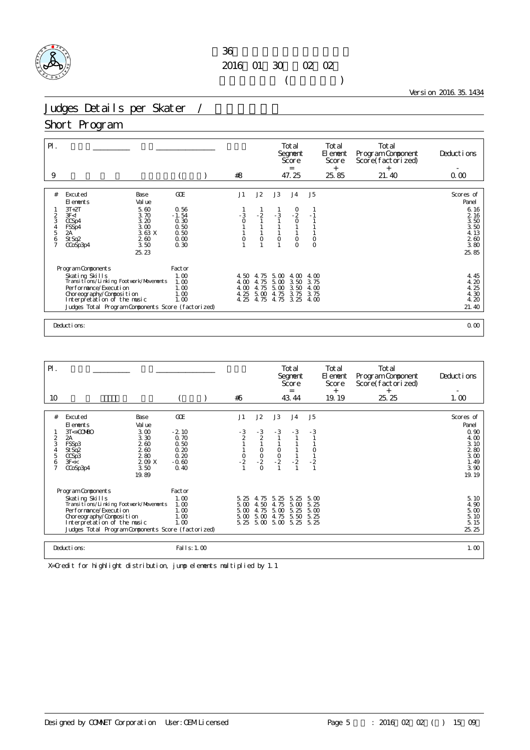## $36$ 2016年01月30日~02月02日  $($

Version 2016.35.1434

# Judges Details per Skater /

### Short Program

| $\mathsf{P}$ .<br>9 |                                                           |              |  | #8           |              | Total<br>Segnent<br>Score<br>$=$<br>47.25 |                                             | Total<br>El ement<br>Score<br>$+$<br>25.85 | Total<br>Program Component<br>Score(factorized)<br>$^{+}$<br>21.40 | Deductions<br>0.00 |                               |  |
|---------------------|-----------------------------------------------------------|--------------|--|--------------|--------------|-------------------------------------------|---------------------------------------------|--------------------------------------------|--------------------------------------------------------------------|--------------------|-------------------------------|--|
|                     |                                                           |              |  |              |              |                                           |                                             |                                            |                                                                    |                    |                               |  |
| #                   | Excuted<br>Base<br>Val ue<br>El ements<br>$3T+2T$<br>5.60 | GOE<br>0.56  |  | J1           | J2           | J3                                        | J <sub>4</sub>                              | J5                                         |                                                                    |                    | Scores of<br>Panel<br>6.16    |  |
| $\overline{a}$      | 3F < I<br>3.70                                            | $-1.54$      |  | $-3$<br>0    | $-2$         | $-3$                                      | $\begin{smallmatrix}0\\-2\end{smallmatrix}$ | $-1$                                       |                                                                    |                    | 2 16                          |  |
| 3                   | 3.20<br>CCSp4<br>3.00<br>FSSp4                            | 0.30<br>0.50 |  |              |              |                                           | $\circ$                                     |                                            |                                                                    |                    | 3.50<br>3.50                  |  |
| $\frac{4}{5}$       | 3.63 X<br>2A<br>260                                       | 0.50<br>0.00 |  | 0            | $\circ$      | $\circ$                                   | $\circ$                                     | $\circ$                                    |                                                                    |                    | 4.13                          |  |
| 6<br>$\overline{7}$ | St Sq2<br>3.50<br>CCoSp3p4                                | 0.30         |  |              |              |                                           | $\overline{O}$                              | $\circ$                                    |                                                                    |                    | $\frac{2}{3}$ $\frac{60}{80}$ |  |
|                     | 25.23                                                     |              |  |              |              |                                           |                                             |                                            |                                                                    |                    | 25.85                         |  |
|                     | Program Components                                        | Factor       |  |              |              |                                           |                                             |                                            |                                                                    |                    |                               |  |
|                     | Skating Skills                                            | 1.00         |  | 4.50         | 4.75         | 5.00                                      | 4.00                                        | 4.00                                       |                                                                    |                    | 4.45                          |  |
|                     | Transi ti ons/Li nki ng Footvork/Movements                | 1.00         |  | 4.00         | 4.75         | 5.00                                      | 3.50                                        | 3.75                                       |                                                                    |                    | 4.20                          |  |
|                     | Per for mance/Execution<br>Choreography/Composition       | 1.00<br>1.00 |  | 4.00<br>4.25 | 4.75<br>5.00 | 5.00<br>4.75                              | 3.50<br>3.75                                | 4.00<br>3.75                               |                                                                    |                    | 25<br>4.<br>4.30              |  |
|                     | Interpretation of the music                               | 1.00         |  | 4.25         | 4.75         | 4.75                                      | 3.25                                        | 4.00                                       |                                                                    |                    | 4.20                          |  |
|                     | Judges Total Program Components Score (factorized)        |              |  |              |              |                                           |                                             |                                            |                                                                    |                    | 21.40                         |  |
|                     |                                                           |              |  |              |              |                                           |                                             |                                            |                                                                    |                    |                               |  |
|                     | Deductions:<br>0.00                                       |              |  |              |              |                                           |                                             |                                            |                                                                    |                    |                               |  |

| $\mathsf{P}$ .<br>10                         |                                                                                                                                                                                                                                |                                                                   | #6                                          |                                           |                                                         | Total<br>Segnent<br>Score<br>$=$<br>43.44 |                                      | Total<br>El ement<br>Score<br>$^{+}$<br>19.19 | Total<br>Program Component<br>Score(factorized)<br>$^{+}$<br>25.25 | Deductions<br>1.00                                                                 |
|----------------------------------------------|--------------------------------------------------------------------------------------------------------------------------------------------------------------------------------------------------------------------------------|-------------------------------------------------------------------|---------------------------------------------|-------------------------------------------|---------------------------------------------------------|-------------------------------------------|--------------------------------------|-----------------------------------------------|--------------------------------------------------------------------|------------------------------------------------------------------------------------|
|                                              |                                                                                                                                                                                                                                |                                                                   |                                             |                                           |                                                         |                                           |                                      |                                               |                                                                    |                                                                                    |
| #<br>$\overline{2}$<br>3<br>4<br>5<br>6<br>7 | Excuted<br>Base<br>Val ue<br>El ements<br>$3T < +00000$<br>3.00<br>2A<br>3.30<br>260<br>FSSp3<br>260<br>St Sq2<br>280<br>CCSp3<br>2.09 X<br>3F <<<br>3.50<br>CCoSp3p4<br>19.89                                                 | GOE<br>$-2.10$<br>0.70<br>0.50<br>0.20<br>0.20<br>$-0.60$<br>0.40 | J1<br>$\frac{3}{2}$<br>$\frac{0}{2}$        | J2<br>$-\frac{3}{2}$<br>$-2$<br>$-2$<br>0 | J3<br>$-3$<br>$\begin{matrix} 0 \\ 0 \\ 2 \end{matrix}$ | J <sub>4</sub><br>$-3$<br>$\frac{1}{2}$   | J5<br>$-3$<br>$\frac{1}{2}$          |                                               |                                                                    | Scores of<br>Panel<br>0.90<br>4.00<br>3.10<br>280<br>3.00<br>1.49<br>3.90<br>19.19 |
|                                              | Program Components<br>Skating Skills<br>Transi ti ons/Li nki ng Footvork/Movements<br>Per for mance/Execution<br>Choreography/Composition<br>Interpretation of the music<br>Judges Total Program Components Score (factorized) | Factor<br>1.00<br>1.00<br>1.00<br>1.00<br>1.00                    | 5.25<br>$5\,\omega$<br>5.00<br>5.00<br>5.25 | 4.75<br>4.50<br>4.75<br>5.00<br>5.00      | 5.25<br>4.75<br>5.00<br>4.75<br>5.00                    | 5.25<br>5.00<br>5.25<br>5.50<br>5.25      | 5.00<br>5.25<br>5.00<br>5.25<br>5.25 |                                               |                                                                    | 5.10<br>4.90<br>5.00<br>5.10<br>5.15<br>25.25                                      |
|                                              | Deductions:                                                                                                                                                                                                                    | Fal I s: 1.00                                                     |                                             |                                           |                                                         |                                           |                                      |                                               |                                                                    | 1.00                                                                               |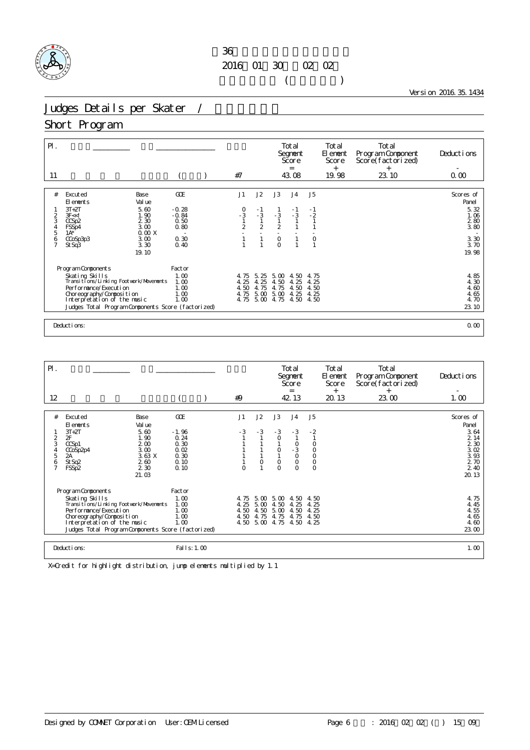### $36$ 2016年01月30日~02月02日  $($

Version 2016.35.1434

# Judges Details per Skater /

### Short Program

| $\mathsf{P}$ .<br>11 |                                                              |                 | #7                                          |                |                | Total<br>Segnent<br>Score<br>$=$<br>43.08 |              | Total<br>El ement<br>Score<br>$+$<br>19.98 | Total<br>Program Component<br>Score(factorized)<br>$^{+}$<br>23.10 | Deductions<br>0.00 |
|----------------------|--------------------------------------------------------------|-----------------|---------------------------------------------|----------------|----------------|-------------------------------------------|--------------|--------------------------------------------|--------------------------------------------------------------------|--------------------|
|                      |                                                              |                 |                                             |                |                |                                           |              |                                            |                                                                    |                    |
| #                    | Excuted<br>Base<br>Val ue<br>El ements                       | GOE             | J1                                          | J2             | J3             | J <sub>4</sub>                            | J5           |                                            |                                                                    | Scores of<br>Panel |
|                      | $3T+2T$<br>5.60                                              | $-0.28$         |                                             | - 1            |                | $-1$                                      | $-1$         |                                            |                                                                    | 5.32               |
| $\overline{a}$<br>3  | 3F < 1<br>1.90<br>2 3 0<br>CCSp2                             | $-0.84$<br>0.50 | $\begin{array}{c} 0 \\ -3 \\ 1 \end{array}$ | $-3$           | $-3$           | $-3$                                      | $-2$         |                                            |                                                                    | 1.06<br>280        |
| $\frac{4}{5}$        | 3.00<br>FSSp4                                                | 0.80            | $\overline{2}$                              | $\mathfrak{D}$ | $\overline{2}$ |                                           |              |                                            |                                                                    | 3.80               |
| 6                    | 0.00X<br>$1A^*$<br>3.00<br>CCoSp3p3                          | 0.30            |                                             | $\mathbf{1}$   | $\circ$        |                                           | $\mathsf O$  |                                            |                                                                    | 3.30               |
| $\overline{7}$       | 3.30<br>St Sq3                                               | 0.40            |                                             |                | $\circ$        |                                           | $\mathbf{1}$ |                                            |                                                                    | 3.70               |
|                      | 19.10                                                        |                 |                                             |                |                |                                           |              |                                            |                                                                    | 19.98              |
|                      |                                                              |                 |                                             |                |                |                                           |              |                                            |                                                                    |                    |
|                      | Program Components                                           | Factor          |                                             |                |                |                                           |              |                                            |                                                                    |                    |
|                      | Skating Skills<br>Transi ti ons/Li nki ng Footvork/Movements | 1.00<br>1.00    | 4.75<br>4.25                                | 5.25<br>4.25   | 5.00<br>4.50   | 4.50<br>4.25                              | 4.75<br>4.25 |                                            |                                                                    | 4.85<br>4.30       |
|                      | Per for mance/Execution                                      | 1.00            | 4.50                                        | 4.75           | 4.75           | 4.50                                      | 4.50         |                                            |                                                                    | 4.60               |
|                      | Choreography/Composition                                     | 1.00            | 4.75                                        | 5.00           | 5.00           | 4.25                                      | 4.25         |                                            |                                                                    | 4.65               |
|                      | Interpretation of the music                                  | 1.00            | 4.75                                        | 5.00           | 4.75           | 4.50                                      | 4.50         |                                            |                                                                    | 4.70               |
|                      | Judges Total Program Components Score (factorized)           |                 |                                             |                |                |                                           |              |                                            |                                                                    | 23.10              |
|                      |                                                              |                 |                                             |                |                |                                           |              |                                            |                                                                    |                    |
|                      | Deductions:                                                  |                 |                                             |                |                |                                           |              |                                            |                                                                    | 0.00               |

| $\mathsf{P}$ .                                            |                                                                                                                                                                                                                                |                                                                                  |                                                                |                                      |                              |                                                   | Total<br>Segnent<br>Score<br>$=$                                                                      |                                                                   | Total<br>El enent<br>Score<br>$^{+}$ | Total<br>Program Component<br>Score(factorized)<br>$^{+}$ | Deductions                                                                           |
|-----------------------------------------------------------|--------------------------------------------------------------------------------------------------------------------------------------------------------------------------------------------------------------------------------|----------------------------------------------------------------------------------|----------------------------------------------------------------|--------------------------------------|------------------------------|---------------------------------------------------|-------------------------------------------------------------------------------------------------------|-------------------------------------------------------------------|--------------------------------------|-----------------------------------------------------------|--------------------------------------------------------------------------------------|
| 12                                                        |                                                                                                                                                                                                                                |                                                                                  |                                                                | #9                                   |                              |                                                   | 42.13                                                                                                 |                                                                   | 20.13                                | 23.00                                                     | 1.00                                                                                 |
| #<br>$\overline{c}$<br>3<br>4<br>5<br>6<br>$\overline{7}$ | Excuted<br>El ements<br>$3T+2T$<br>2F<br>CCSp1<br>CCoSp2p4<br>2A<br>St Sq2<br>FSSp2                                                                                                                                            | Base<br>Val ue<br>5.60<br>1.90<br>200<br>3.00<br>3.63 X<br>260<br>2 3 0<br>21.03 | GOE<br>$-1.96$<br>0.24<br>0.30<br>0.02<br>0.30<br>0.10<br>0.10 | J1<br>$-3$<br>$\Omega$               | J2<br>$-3$<br>$\circ$        | J3<br>$-3$<br>0<br>$\circ$<br>$\circ$<br>$\Omega$ | J <sub>4</sub><br>$-3$<br>$\begin{matrix}0\\ -3\end{matrix}$<br>$\overline{O}$<br>$\circ$<br>$\Omega$ | J5<br>$-2$<br>$\circ$<br>$_{\rm O}^{\rm O}$<br>$\circ$<br>$\circ$ |                                      |                                                           | Scores of<br>Panel<br>3.64<br>2.14<br>2 3 0<br>3.02<br>3.93<br>2 70<br>2 40<br>20.13 |
|                                                           | Program Components<br>Skating Skills<br>Transi ti ons/Li nki ng Footvork/Movements<br>Per for mance/Execution<br>Choreography/Composition<br>Interpretation of the music<br>Judges Total Program Components Score (factorized) |                                                                                  | Factor<br>1.00<br>1.00<br>1.00<br>1.00<br>1.00                 | 4.75<br>4.25<br>4.50<br>4.50<br>4.50 | 5.00<br>4.50<br>4.75<br>5.00 | $5.00\ 5.00$<br>4.50<br>5.00<br>4.75<br>4.75      | 4.50<br>4.25<br>4.50<br>4.75<br>4.50                                                                  | 4.50<br>4.25<br>4.25<br>4.50<br>4.25                              |                                      |                                                           | 4.75<br>4.45<br>4.55<br>4.65<br>4.60<br>23.00                                        |
|                                                           | Deductions:                                                                                                                                                                                                                    |                                                                                  | Fal I s: 1.00                                                  |                                      |                              |                                                   |                                                                                                       |                                                                   |                                      |                                                           | 1.00                                                                                 |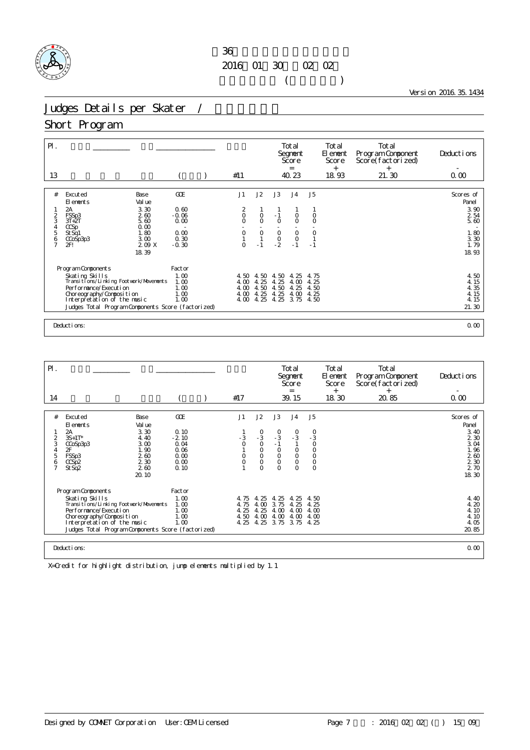## $36$ 2016年01月30日~02月02日  $($

Version 2016.35.1434

# Judges Details per Skater /

### Short Program

| $\mathsf{P}$ .<br>13                           |                                                                                                                                                                                                                                     |                                                                  | #11                                                                         |                                                 |                                                                     | Total<br>Segnent<br>Score<br>$=$<br>40.23                                      |                                             | Total<br>El ement<br>Score<br>$+$<br>18.93 | Total<br>Program Component<br>Score(factorized)<br>$+$<br>21.30 | Deductions<br>0.00                                                 |
|------------------------------------------------|-------------------------------------------------------------------------------------------------------------------------------------------------------------------------------------------------------------------------------------|------------------------------------------------------------------|-----------------------------------------------------------------------------|-------------------------------------------------|---------------------------------------------------------------------|--------------------------------------------------------------------------------|---------------------------------------------|--------------------------------------------|-----------------------------------------------------------------|--------------------------------------------------------------------|
| #<br>$\frac{2}{3}$<br>5<br>6<br>$\overline{7}$ | Excuted<br><b>Base</b><br>Val ue<br>FI ements<br>3.30<br>2A<br>FSSp3<br>260<br>$3T+2T$<br>5.60<br>0.00<br>CCSp<br>1.80<br>St Sq1<br>3.00<br>CCoSp3p3<br>2F!<br>209X                                                                 | <b>GCE</b><br>0.60<br>$-0.06$<br>0.00<br>0.00<br>0.30<br>$-0.30$ | J1<br>$\begin{matrix} 2 \\ 0 \end{matrix}$<br>$\circ$<br>$\circ$<br>$\circ$ | J2<br>$\mathsf O$<br>$\circ$<br>$\circ$<br>$-1$ | J3<br>$-1$<br>$\circ$<br>$\begin{matrix} 0 \\ 0 \\ -2 \end{matrix}$ | J <sub>4</sub><br>$\circ$<br>$\circ$<br>$\mathsf{O}\xspace$<br>$\circ$<br>$-1$ | J5<br>$\circ$<br>$\circ$<br>$\circ$<br>$-1$ |                                            |                                                                 | Scores of<br>Panel<br>3.90<br>2 54<br>5.60<br>1.80<br>3.30<br>1.79 |
|                                                | 18.39<br>Program Components<br>Skating Skills<br>Transitions/Linking Footwork/Movements<br>Per for mance/Execution<br>Choreography/Composition<br>Interpretation of the music<br>Judges Total Program Components Score (factorized) | Factor<br>1.00<br>1.00<br>1.00<br>1.00<br>1.00                   | 4.50<br>4.00<br>4.00<br>4.00<br>4.00                                        | 4.50<br>4.25<br>4.50<br>4.25<br>4.25            | 50<br>4.<br>4.25<br>4.50<br>4.25<br>4.25                            | 25<br>4.<br>4.00<br>4.25<br>4.00<br>3.75                                       | 4.75<br>4.25<br>4.50<br>4.25<br>4.50        |                                            |                                                                 | 18.93<br>4.50<br>4.15<br>4.35<br>4.15<br>4.15<br>21.30             |
|                                                | Deductions:                                                                                                                                                                                                                         |                                                                  |                                                                             |                                                 |                                                                     |                                                                                |                                             |                                            |                                                                 | 0.00                                                               |

| $P$ .          |                                                                                   |                 |                |                    |                            | Total<br>Segnent<br>Score<br>$=$ |                    | Total<br>El ement<br>Score<br>$^{+}$ | Total<br>Program Component<br>Score(factorized)<br>$\ddot{}$ | Deductions    |
|----------------|-----------------------------------------------------------------------------------|-----------------|----------------|--------------------|----------------------------|----------------------------------|--------------------|--------------------------------------|--------------------------------------------------------------|---------------|
| 14             |                                                                                   |                 | #17            |                    |                            | 39.15                            |                    | 18.30                                | 20.85                                                        | 0.00          |
| #              | Excuted<br>Base                                                                   | GOE             | J1             | J2                 | J3                         | J <sub>4</sub>                   | J5                 |                                      |                                                              | Scores of     |
|                | Val ue<br>El ements                                                               |                 |                |                    |                            |                                  |                    |                                      |                                                              | Panel         |
| 2              | 3.30<br>2А<br>$3S+1T^*$<br>4.40                                                   | 0.10<br>$-2.10$ | - 3            | $\frac{0}{3}$      | $\frac{0}{3}$              | $^{0}_{-3}$                      | $\frac{0}{3}$      |                                      |                                                              | 3.40<br>2 3 0 |
| 3<br>4         | 3.00<br>CCoSp3p3<br>1.90<br>2F                                                    | 0.04<br>0.06    | $\overline{O}$ | $\circ$<br>$\circ$ | $-1$<br>$\circ$            | $\mathsf O$                      | $\circ$<br>$\circ$ |                                      |                                                              | 3.04<br>1.96  |
| 5<br>6         | 260<br>FSSp3<br>2 3 0<br>CCSp2                                                    | 0.00<br>0.00    | 0<br>$\circ$   | $\circ$<br>$\circ$ | $\mathsf O$<br>$\mathsf O$ | $\mathsf{O}\xspace$<br>$\circ$   | $\circ$<br>$\circ$ |                                      |                                                              | 260<br>2 3 0  |
| $\overline{7}$ | 260<br>St Sq2                                                                     | 0.10            |                | $\Omega$           | $\Omega$                   | $\Omega$                         | $\circ$            |                                      |                                                              | 2 70          |
|                | 20.10                                                                             |                 |                |                    |                            |                                  |                    |                                      |                                                              | 18.30         |
|                | Program Components                                                                | Factor          |                |                    |                            |                                  |                    |                                      |                                                              |               |
|                | Skating Skills<br>Transi ti ons/Li nki ng Footvork/Movements                      | 1.00<br>1.00    | 4.75<br>4.75   | 4.25<br>4.00       | 4.25<br>3.75               | 4.25<br>4.25                     | 4.50<br>4.25       |                                      |                                                              | 4.40<br>4.20  |
|                | Per for mance/Execution                                                           | 1.00            | 4.25           | 4.25               | 4.00                       | 4.00                             | 4.00               |                                      |                                                              | 4.10          |
|                | Choreography/Composition                                                          | 1.00            | 4.50           | 4.00               | 4.00                       | 4.00                             | 4.00               |                                      |                                                              | 4.10          |
|                | Interpretation of the music<br>Judges Total Program Components Score (factorized) | 1.00            | 4.25           | 4.25               | 3.75 3.75 4.25             |                                  |                    |                                      |                                                              | 4.05<br>20.85 |
|                |                                                                                   |                 |                |                    |                            |                                  |                    |                                      |                                                              |               |
|                | Deductions:                                                                       |                 |                |                    |                            |                                  |                    |                                      |                                                              | 0.00          |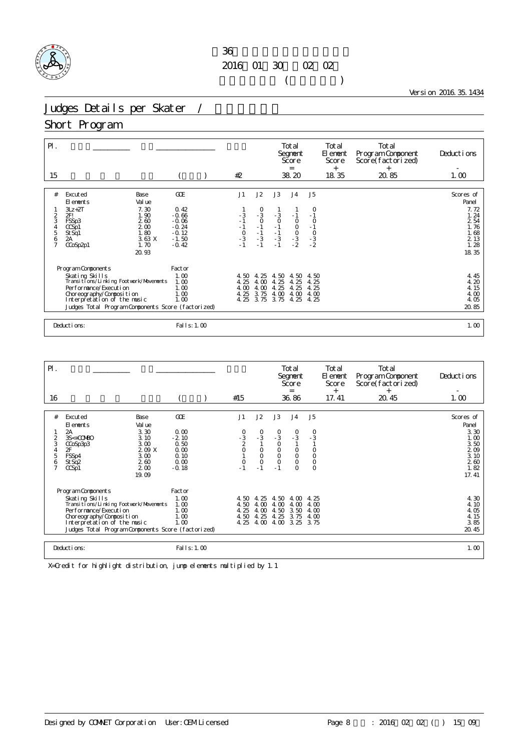### $36$ 2016年01月30日~02月02日  $($

Version 2016.35.1434

# Judges Details per Skater /

### Short Program

| $\mathsf{P}$ .<br>15                            |                                                                                                                                                    |                                                                | #2                                   |                                                                                |                                               | Total<br>Segnent<br>Score<br>$=$<br>38.20            |                                      | Total<br>El ement<br>Score<br>$^{+}$<br>18.35 | Total<br>Program Component<br>Score(factorized)<br>$+$<br>20.85 | Deductions<br>1.00                            |
|-------------------------------------------------|----------------------------------------------------------------------------------------------------------------------------------------------------|----------------------------------------------------------------|--------------------------------------|--------------------------------------------------------------------------------|-----------------------------------------------|------------------------------------------------------|--------------------------------------|-----------------------------------------------|-----------------------------------------------------------------|-----------------------------------------------|
| #                                               | Excuted<br>Base<br>Val ue<br>El ements<br>$3Lz + 2T$<br>7.30                                                                                       | GOE<br>0.42                                                    | J1                                   | J2                                                                             | J3                                            | J <sub>4</sub>                                       | J <sub>5</sub><br>0                  |                                               |                                                                 | Scores of<br>Panel<br>7.72                    |
| $\frac{2}{3}$<br>$\frac{4}{5}$<br>$\frac{6}{7}$ | 2FI<br>1.90<br>260<br>FSSp3<br>200<br>CCSD1<br>1.80<br>St Sq1<br>3.63X<br>2A<br>1.70<br>CCoSp2p1                                                   | $-0.66$<br>$-0.06$<br>$-0.24$<br>$-0.12$<br>$-1.50$<br>$-0.42$ | $-3$<br>- 1<br>$\frac{1}{0}$<br>- 3  | $\begin{smallmatrix}0\\-3\\0\end{smallmatrix}$<br>$-1$<br>$-1$<br>$-3$<br>$-1$ | $\frac{3}{0}$<br>$-1$<br>$-1$<br>$-3$<br>$-1$ | $-1$<br>$\circ$<br>$\frac{0}{0}$<br>$-3$<br>$-2$     | $\circ$<br>$-1$<br>$-3$<br>$-2$      |                                               |                                                                 | 1.24<br>2 54<br>1.76<br>1.68<br>2 1 3<br>1.28 |
|                                                 | 20.93<br>Program Components                                                                                                                        | Factor                                                         |                                      |                                                                                |                                               |                                                      |                                      |                                               |                                                                 | 18.35                                         |
|                                                 | Skating Skills<br>Transi ti ons/Li nki ng Footvork/Movements<br>Per for mance/Execution<br>Choreography/Composition<br>Interpretation of the music | 1.00<br>1.00<br>1.00<br>1.00<br>1.00                           | 4.50<br>4.25<br>4.00<br>4.25<br>4.25 | 4.25<br>4.00<br>4.00<br>3.75<br>3.75                                           | 4.50<br>4.25<br>4.25<br>4.00<br>3.75          | 4.50<br>4.25<br>25<br>$\overline{4}$<br>4.00<br>4.25 | 4.50<br>4.25<br>4.25<br>4.00<br>4.25 |                                               |                                                                 | 4.45<br>4.20<br>4.15<br>4.00<br>4.05          |
|                                                 | Judges Total Program Components Score (factorized)                                                                                                 |                                                                |                                      |                                                                                |                                               |                                                      |                                      |                                               |                                                                 | 20.85                                         |
|                                                 | Deductions:                                                                                                                                        | Fal I s: 1.00                                                  |                                      |                                                                                |                                               |                                                      |                                      |                                               |                                                                 | 1.00                                          |

| $\mathsf{P}$ .                          |                                                                                                                                                                                                                                |                                                                                 |                                                                   |                                       |                                                                                                      |                                                                                            | Total<br>Segnent<br>Score<br>$=$                                                                          |                                                                                                           | Total<br>El ement<br>Score | Total<br>Program Component<br>Score(factorized) | Deductions                                                                         |
|-----------------------------------------|--------------------------------------------------------------------------------------------------------------------------------------------------------------------------------------------------------------------------------|---------------------------------------------------------------------------------|-------------------------------------------------------------------|---------------------------------------|------------------------------------------------------------------------------------------------------|--------------------------------------------------------------------------------------------|-----------------------------------------------------------------------------------------------------------|-----------------------------------------------------------------------------------------------------------|----------------------------|-------------------------------------------------|------------------------------------------------------------------------------------|
| 16                                      |                                                                                                                                                                                                                                |                                                                                 |                                                                   | #15                                   |                                                                                                      |                                                                                            | 36.86                                                                                                     |                                                                                                           | $^{+}$<br>17.41            | $^{+}$<br>20.45                                 | 1.00                                                                               |
| #<br>3<br>4<br>5<br>6<br>$\overline{7}$ | Excuted<br>El ements<br>2A<br>3S<+COMBO<br>CCoSp3p3<br>2F<br>FSSp4<br>St Sq2<br>CCSp1                                                                                                                                          | Base<br>Val ue<br>3.30<br>3.10<br>3.00<br>209 X<br>3.00<br>2.60<br>200<br>19.09 | GOE<br>0.00<br>$-2.10$<br>0.50<br>0.00<br>0.10<br>0.00<br>$-0.18$ | J1<br>$-3$<br>2<br>$\circ$<br>$\circ$ | J2<br>$\begin{smallmatrix}0\\-3\\1\end{smallmatrix}$<br>$\circ$<br>$\overline{O}$<br>$\circ$<br>$-1$ | J3<br>$\begin{array}{c} 0 \\ -3 \\ 0 \end{array}$<br>$_{\rm O}^{\rm O}$<br>$\circ$<br>$-1$ | J <sub>4</sub><br>$\begin{smallmatrix}0\\3\end{smallmatrix}$<br>$_{\rm O}^{\rm O}$<br>$\circ$<br>$\Omega$ | J <sub>5</sub><br>$\begin{smallmatrix}0\\-3\end{smallmatrix}$<br>$_{\rm O}^{\rm O}$<br>$\circ$<br>$\circ$ |                            |                                                 | Scores of<br>Panel<br>3.30<br>1.00<br>3.50<br>2.09<br>3.10<br>260<br>1.82<br>17.41 |
|                                         | Program Components<br>Skating Skills<br>Transi ti ons/Li nki ng Footvork/Movements<br>Per for mance/Execution<br>Choreography/Composition<br>Interpretation of the music<br>Judges Total Program Components Score (factorized) |                                                                                 | Factor<br>1.00<br>1.00<br>1.00<br>1.00<br>1.00                    | 4.50<br>4.50<br>4.25<br>4.50<br>4.25  | 4.25<br>4.00<br>4.00<br>4.25<br>4.00                                                                 | 4.50<br>4.00<br>4.50<br>4.25<br>4.00                                                       | 4.00<br>4.00<br>3.50<br>3.75<br>3.25                                                                      | 4.25<br>4.00<br>4.00<br>4.00<br>3.75                                                                      |                            |                                                 | 4.30<br>4.10<br>4.05<br>4.15<br>3.85<br>20.45                                      |
|                                         | Deductions:                                                                                                                                                                                                                    |                                                                                 | Fal I s: 1.00                                                     |                                       |                                                                                                      |                                                                                            |                                                                                                           |                                                                                                           |                            |                                                 | 1.00                                                                               |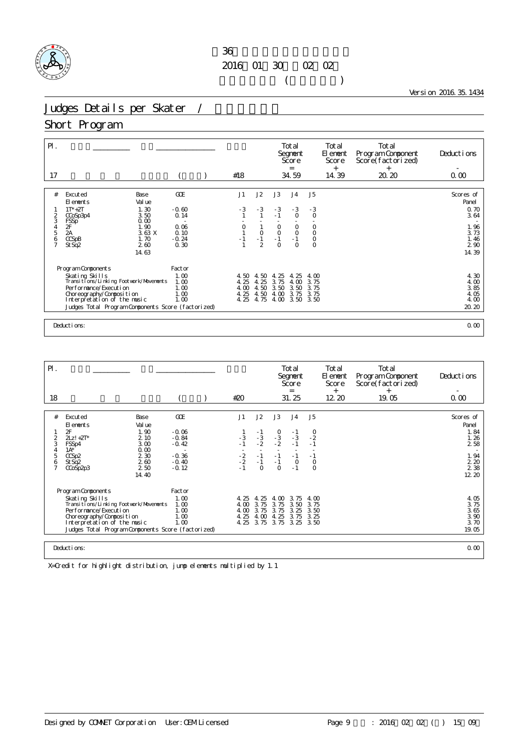## $36$ 2016年01月30日~02月02日  $($

Version 2016.35.1434

# Judges Details per Skater /

### Short Program

| $\mathsf{P}$ .<br>17                                  |                                                                                                                                                                                                                            |                                                | #18                                                    |                                      |                                          | Total<br>Segnent<br>Score<br>$=$<br>34.59 |                                          | Total<br>El ement<br>Score<br>$+$<br>14.39 | Total<br>Program Component<br>Score(factorized)<br>$+$<br>20.20 | Deductions<br>0.00                            |
|-------------------------------------------------------|----------------------------------------------------------------------------------------------------------------------------------------------------------------------------------------------------------------------------|------------------------------------------------|--------------------------------------------------------|--------------------------------------|------------------------------------------|-------------------------------------------|------------------------------------------|--------------------------------------------|-----------------------------------------------------------------|-----------------------------------------------|
| #                                                     | Excuted<br>Base<br>Val ue<br>El ements<br>1.30<br>$1T^* + 2T$<br>3.50<br>CCoSp3p4                                                                                                                                          | <b>GCE</b><br>$-0.60$<br>0.14                  | J1<br>$-3$                                             | J2<br>$-3$<br>1                      | J3<br>$-3$<br>$-1$                       | J <sub>4</sub><br>$-3$<br>$\circ$         | J5<br>$-3$<br>$\circ$                    |                                            |                                                                 | Scores of<br>Panel<br>0.70<br>3.64            |
| $\frac{2}{3}$<br>$\frac{4}{5}$<br>6<br>$\overline{7}$ | 0.00<br>FSSp <sup>-</sup><br>$\frac{2F}{2A}$<br>1.90<br>3.63X<br>CCSPB<br>1.70<br>260<br>St Sq2<br>14.63                                                                                                                   | 0.06<br>0.10<br>$-0.24$<br>0.30                | $\begin{smallmatrix} 0 \\ 1 \end{smallmatrix}$<br>$-1$ | $\circ$<br>$-1$<br>$\overline{2}$    | $_{0}^{0}$<br>$-1$<br>$\circ$            | $_{0}^{0}$<br>$-1$<br>$\circ$             | $_{\rm O}^{\rm O}$<br>$\circ$<br>$\circ$ |                                            |                                                                 | $\frac{1}{3}$ . 73<br>1.46<br>2 90<br>14.39   |
|                                                       | Program Components<br>Skating Skills<br>Transitions/Linking Footwork/Movements<br>Per for mance/Execution<br>Choreography/Composition<br>Interpretation of the music<br>Judges Total Program Components Score (factorized) | Factor<br>1.00<br>1.00<br>1.00<br>1.00<br>1.00 | 4.50<br>4.25<br>4.00<br>4.25<br>4.25                   | 4.50<br>4.25<br>4.50<br>4.50<br>4.75 | 25<br>4.<br>3.75<br>3.50<br>4.00<br>4.00 | -25<br>4.<br>4.00<br>3.50<br>3.75<br>3.50 | 4.00<br>3.75<br>3.75<br>3.75<br>3.50     |                                            |                                                                 | 4.30<br>4.00<br>3.85<br>4.05<br>4.00<br>20.20 |
|                                                       | Deductions:                                                                                                                                                                                                                |                                                |                                                        |                                      |                                          |                                           |                                          |                                            |                                                                 | 0.00                                          |

| $\mathsf{P}$ .                                      |                                                                                                                                                                                                                                |                                                                                 |                                                                       |                                            |                                                        |                                                | Total<br>Segnent<br>Score<br>$=$                                    |                                                         | Total<br>El ement<br>Score<br>$^{+}$ | Total<br>Program Component<br>Score(factorized)<br>$^+$ | Deductions                                                                        |
|-----------------------------------------------------|--------------------------------------------------------------------------------------------------------------------------------------------------------------------------------------------------------------------------------|---------------------------------------------------------------------------------|-----------------------------------------------------------------------|--------------------------------------------|--------------------------------------------------------|------------------------------------------------|---------------------------------------------------------------------|---------------------------------------------------------|--------------------------------------|---------------------------------------------------------|-----------------------------------------------------------------------------------|
| 18                                                  |                                                                                                                                                                                                                                |                                                                                 |                                                                       | #20                                        |                                                        |                                                | 31.25                                                               |                                                         | 12 20                                | 19.05                                                   | 0.00                                                                              |
| #<br>$\frac{2}{3}$<br>4<br>5<br>6<br>$\overline{7}$ | Excuted<br>El ements<br>2F<br>$2Lz! + 2T^*$<br>FSSp4<br>$1A^*$<br>CCSp2<br>St Sq2<br>CCoSp2p3                                                                                                                                  | Base<br>Val ue<br>1.90<br>2 10<br>3.00<br>0.00<br>2 3 0<br>2.60<br>250<br>14.40 | GOE<br>$-0.06$<br>$-0.84$<br>$-0.42$<br>$-0.36$<br>$-0.40$<br>$-0.12$ | J1<br>$-3$<br>$-1$<br>$-2$<br>$-2$<br>$-1$ | J2<br>$-1$<br>$-3$<br>$-2$<br>$-1$<br>$-1$<br>$\Omega$ | J3<br>$-3 - 2 = 2$<br>$-1$<br>$-1$<br>$\Omega$ | J <sub>4</sub><br>$\frac{-1}{3}$<br>$-1$<br>$-1$<br>$\circ$<br>$-1$ | J5<br>$^{0}_{-2}$<br>$-1$<br>$-1$<br>$\circ$<br>$\circ$ |                                      |                                                         | Scores of<br>Panel<br>$1.84$<br>$1.26$<br>2 5 8<br>1.94<br>2.20<br>2 3 8<br>12 20 |
|                                                     | Program Components<br>Skating Skills<br>Transi ti ons/Li nki ng Footvork/Movements<br>Per for mance/Execution<br>Choreography/Composition<br>Interpretation of the music<br>Judges Total Program Components Score (factorized) |                                                                                 | Factor<br>1.00<br>1.00<br>1.00<br>1.00<br>1.00                        | 4.25<br>4.00<br>4.00<br>4.25               | 4.25<br>3.75<br>3.75<br>4.00<br>4.25 3.75              | 4.00<br>3.75<br>3.75<br>4.25<br>3.75           | 3.75<br>3.50<br>3.25<br>3.75<br>3.25                                | 4.00<br>3.75<br>3.50<br>3.25<br>3.50                    |                                      |                                                         | 4.05<br>3.75<br>3.65<br>3.90<br>3.70<br>19.05                                     |
|                                                     | Deductions:                                                                                                                                                                                                                    |                                                                                 |                                                                       |                                            |                                                        |                                                |                                                                     |                                                         |                                      |                                                         | 0.00                                                                              |